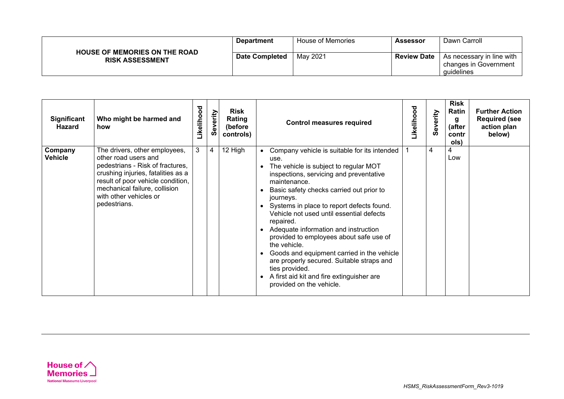| <b>HOUSE OF MEMORIES ON THE ROAD</b> | <b>Department</b>     | House of Memories | Assessor           | Dawn Carroll                                                     |
|--------------------------------------|-----------------------|-------------------|--------------------|------------------------------------------------------------------|
| <b>RISK ASSESSMENT</b>               | <b>Date Completed</b> | May 2021          | <b>Review Date</b> | As necessary in line with<br>changes in Government<br>quidelines |

| Significant<br>Hazard     | Who might be harmed and<br>how                                                                                                                                                                                                                  | Likelihood | everity | Risk<br>Rating<br>(before<br>controls) |                                                                                                                           | <b>Control measures required</b>                                                                                                                                                                                                                                                                                                                                                                                                                                                                 | Likelihood | Severity | <b>Risk</b><br>Ratin<br>g<br>(after<br>contr<br>ols) | <b>Further Action</b><br><b>Required (see</b><br>action plan<br>below) |
|---------------------------|-------------------------------------------------------------------------------------------------------------------------------------------------------------------------------------------------------------------------------------------------|------------|---------|----------------------------------------|---------------------------------------------------------------------------------------------------------------------------|--------------------------------------------------------------------------------------------------------------------------------------------------------------------------------------------------------------------------------------------------------------------------------------------------------------------------------------------------------------------------------------------------------------------------------------------------------------------------------------------------|------------|----------|------------------------------------------------------|------------------------------------------------------------------------|
| Company<br><b>Vehicle</b> | The drivers, other employees,<br>other road users and<br>pedestrians - Risk of fractures,<br>crushing injuries, fatalities as a<br>result of poor vehicle condition,<br>mechanical failure, collision<br>with other vehicles or<br>pedestrians. | 3          | 4       | 12 High                                | use.<br>maintenance.<br>journeys.<br>repaired.<br>the vehicle.<br>ties provided.<br>$\bullet$<br>provided on the vehicle. | Company vehicle is suitable for its intended<br>The vehicle is subject to regular MOT<br>inspections, servicing and preventative<br>Basic safety checks carried out prior to<br>Systems in place to report defects found.<br>Vehicle not used until essential defects<br>Adequate information and instruction<br>provided to employees about safe use of<br>Goods and equipment carried in the vehicle<br>are properly secured. Suitable straps and<br>A first aid kit and fire extinguisher are |            | 4        | $\overline{4}$<br>Low                                |                                                                        |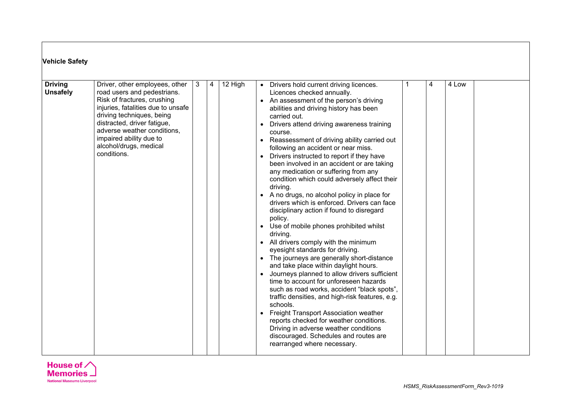| <b>Vehicle Safety</b>             |                                                                                                                                                                                                                                                                                                   |              |   |         |                                                                                                                                                                                                                                                                                                                                                                                                                                                                                                                                                                                                                                                                                                                                                                                                                                                                                                                                                                                                                                                                                                                                                                                                                                                                                                                                                                |  |  |  |  |  |
|-----------------------------------|---------------------------------------------------------------------------------------------------------------------------------------------------------------------------------------------------------------------------------------------------------------------------------------------------|--------------|---|---------|----------------------------------------------------------------------------------------------------------------------------------------------------------------------------------------------------------------------------------------------------------------------------------------------------------------------------------------------------------------------------------------------------------------------------------------------------------------------------------------------------------------------------------------------------------------------------------------------------------------------------------------------------------------------------------------------------------------------------------------------------------------------------------------------------------------------------------------------------------------------------------------------------------------------------------------------------------------------------------------------------------------------------------------------------------------------------------------------------------------------------------------------------------------------------------------------------------------------------------------------------------------------------------------------------------------------------------------------------------------|--|--|--|--|--|
| <b>Driving</b><br><b>Unsafely</b> | Driver, other employees, other<br>road users and pedestrians.<br>Risk of fractures, crushing<br>injuries, fatalities due to unsafe<br>driving techniques, being<br>distracted, driver fatigue,<br>adverse weather conditions,<br>impaired ability due to<br>alcohol/drugs, medical<br>conditions. | $\mathbf{3}$ | 4 | 12 High | 4 Low<br>• Drivers hold current driving licences.<br>4<br>Licences checked annually.<br>• An assessment of the person's driving<br>abilities and driving history has been<br>carried out.<br>Drivers attend driving awareness training<br>$\bullet$<br>course.<br>Reassessment of driving ability carried out<br>following an accident or near miss.<br>Drivers instructed to report if they have<br>been involved in an accident or are taking<br>any medication or suffering from any<br>condition which could adversely affect their<br>driving.<br>• A no drugs, no alcohol policy in place for<br>drivers which is enforced. Drivers can face<br>disciplinary action if found to disregard<br>policy.<br>Use of mobile phones prohibited whilst<br>$\bullet$<br>driving.<br>• All drivers comply with the minimum<br>eyesight standards for driving.<br>The journeys are generally short-distance<br>and take place within daylight hours.<br>Journeys planned to allow drivers sufficient<br>time to account for unforeseen hazards<br>such as road works, accident "black spots",<br>traffic densities, and high-risk features, e.g.<br>schools.<br>• Freight Transport Association weather<br>reports checked for weather conditions.<br>Driving in adverse weather conditions<br>discouraged. Schedules and routes are<br>rearranged where necessary. |  |  |  |  |  |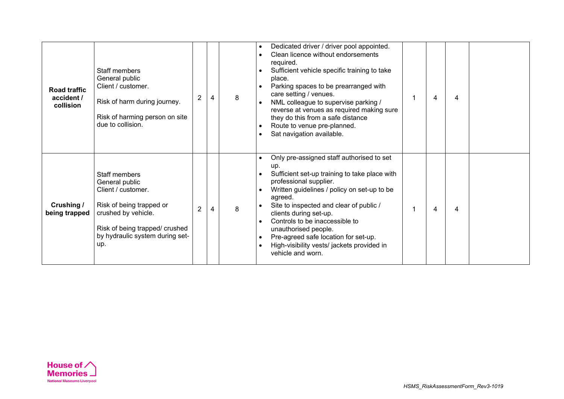| <b>Road traffic</b><br>accident /<br>collision | Staff members<br>General public<br>Client / customer.<br>Risk of harm during journey.<br>Risk of harming person on site<br>due to collision.                                         | $\overline{2}$ |   | 8 | $\bullet$<br>$\bullet$<br>$\bullet$              | Dedicated driver / driver pool appointed.<br>Clean licence without endorsements<br>required.<br>Sufficient vehicle specific training to take<br>place.<br>Parking spaces to be prearranged with<br>care setting / venues.<br>NML colleague to supervise parking /<br>reverse at venues as required making sure<br>they do this from a safe distance<br>Route to venue pre-planned.<br>Sat navigation available.                 | 4 | 4 |  |
|------------------------------------------------|--------------------------------------------------------------------------------------------------------------------------------------------------------------------------------------|----------------|---|---|--------------------------------------------------|---------------------------------------------------------------------------------------------------------------------------------------------------------------------------------------------------------------------------------------------------------------------------------------------------------------------------------------------------------------------------------------------------------------------------------|---|---|--|
| Crushing /<br>being trapped                    | Staff members<br>General public<br>Client / customer.<br>Risk of being trapped or<br>crushed by vehicle.<br>Risk of being trapped/ crushed<br>by hydraulic system during set-<br>up. | $\overline{2}$ | 4 | 8 | $\bullet$<br>$\bullet$<br>$\bullet$<br>$\bullet$ | Only pre-assigned staff authorised to set<br>up.<br>Sufficient set-up training to take place with<br>professional supplier.<br>Written guidelines / policy on set-up to be<br>agreed.<br>Site to inspected and clear of public /<br>clients during set-up.<br>Controls to be inaccessible to<br>unauthorised people.<br>Pre-agreed safe location for set-up.<br>High-visibility vests/ jackets provided in<br>vehicle and worn. | 4 | 4 |  |

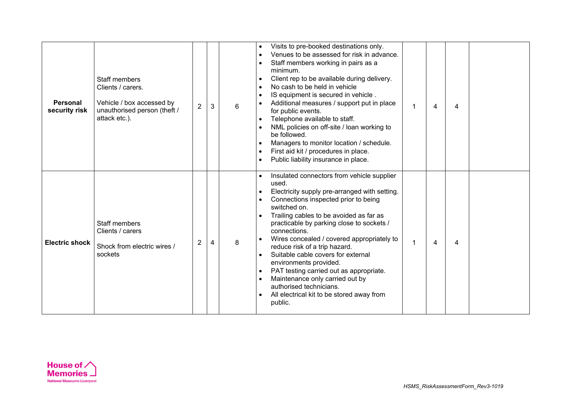| <b>Personal</b><br>security risk | Staff members<br>Clients / carers.<br>Vehicle / box accessed by<br>unauthorised person (theft /<br>attack etc.). | $\overline{2}$ | 3 | 6 | Visits to pre-booked destinations only.<br>Venues to be assessed for risk in advance.<br>Staff members working in pairs as a<br>minimum.<br>Client rep to be available during delivery.<br>No cash to be held in vehicle<br>IS equipment is secured in vehicle.<br>Additional measures / support put in place<br>4<br>4<br>for public events.<br>Telephone available to staff.<br>NML policies on off-site / loan working to<br>be followed.<br>Managers to monitor location / schedule.<br>First aid kit / procedures in place.<br>Public liability insurance in place.                       |  |
|----------------------------------|------------------------------------------------------------------------------------------------------------------|----------------|---|---|------------------------------------------------------------------------------------------------------------------------------------------------------------------------------------------------------------------------------------------------------------------------------------------------------------------------------------------------------------------------------------------------------------------------------------------------------------------------------------------------------------------------------------------------------------------------------------------------|--|
| <b>Electric shock</b>            | <b>Staff members</b><br>Clients / carers<br>Shock from electric wires /<br>sockets                               | $\overline{2}$ | 4 | 8 | Insulated connectors from vehicle supplier<br>used.<br>Electricity supply pre-arranged with setting.<br>Connections inspected prior to being<br>switched on.<br>Trailing cables to be avoided as far as<br>practicable by parking close to sockets /<br>connections.<br>Wires concealed / covered appropriately to<br>4<br>4<br>reduce risk of a trip hazard.<br>Suitable cable covers for external<br>environments provided.<br>PAT testing carried out as appropriate.<br>Maintenance only carried out by<br>authorised technicians.<br>All electrical kit to be stored away from<br>public. |  |

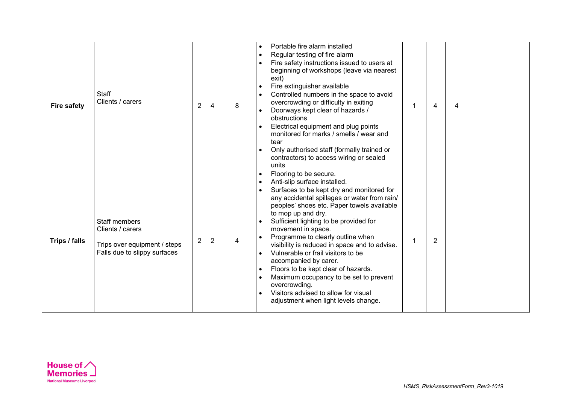| <b>Fire safety</b> | Staff<br>Clients / carers                                                                                | $\overline{2}$ | 4              | 8 | $\bullet$<br>$\bullet$              | Portable fire alarm installed<br>Regular testing of fire alarm<br>Fire safety instructions issued to users at<br>beginning of workshops (leave via nearest<br>exit)<br>Fire extinguisher available<br>Controlled numbers in the space to avoid<br>overcrowding or difficulty in exiting<br>Doorways kept clear of hazards /<br>obstructions<br>Electrical equipment and plug points<br>monitored for marks / smells / wear and<br>tear<br>Only authorised staff (formally trained or<br>contractors) to access wiring or sealed<br>units                                                                                       | 4              | 4 |  |
|--------------------|----------------------------------------------------------------------------------------------------------|----------------|----------------|---|-------------------------------------|--------------------------------------------------------------------------------------------------------------------------------------------------------------------------------------------------------------------------------------------------------------------------------------------------------------------------------------------------------------------------------------------------------------------------------------------------------------------------------------------------------------------------------------------------------------------------------------------------------------------------------|----------------|---|--|
| Trips / falls      | <b>Staff members</b><br>Clients / carers<br>Trips over equipment / steps<br>Falls due to slippy surfaces | $\overline{2}$ | $\overline{c}$ | 4 | $\bullet$<br>$\bullet$<br>$\bullet$ | Flooring to be secure.<br>Anti-slip surface installed.<br>Surfaces to be kept dry and monitored for<br>any accidental spillages or water from rain/<br>peoples' shoes etc. Paper towels available<br>to mop up and dry.<br>Sufficient lighting to be provided for<br>movement in space.<br>Programme to clearly outline when<br>visibility is reduced in space and to advise.<br>Vulnerable or frail visitors to be<br>accompanied by carer.<br>Floors to be kept clear of hazards.<br>Maximum occupancy to be set to prevent<br>overcrowding.<br>Visitors advised to allow for visual<br>adjustment when light levels change. | $\overline{2}$ |   |  |

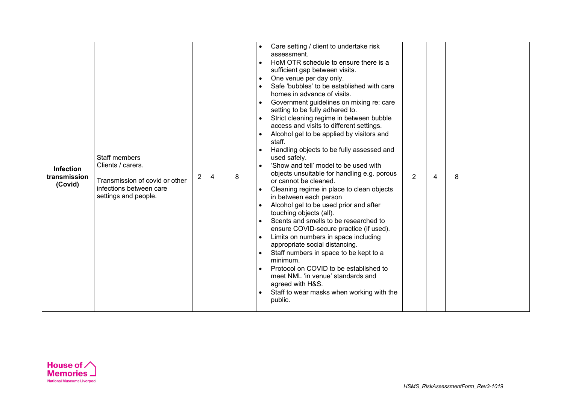|                  |                                |                       |   |   | $\bullet$<br>$\bullet$ | Care setting / client to undertake risk<br>assessment.<br>HoM OTR schedule to ensure there is a |                |                |   |  |
|------------------|--------------------------------|-----------------------|---|---|------------------------|-------------------------------------------------------------------------------------------------|----------------|----------------|---|--|
|                  |                                |                       |   |   |                        | sufficient gap between visits.                                                                  |                |                |   |  |
|                  |                                |                       |   |   | $\bullet$              | One venue per day only.                                                                         |                |                |   |  |
|                  |                                |                       |   |   |                        | Safe 'bubbles' to be established with care                                                      |                |                |   |  |
|                  |                                |                       |   |   |                        | homes in advance of visits.                                                                     |                |                |   |  |
|                  |                                |                       |   |   |                        | Government guidelines on mixing re: care                                                        |                |                |   |  |
|                  |                                |                       |   |   |                        | setting to be fully adhered to.                                                                 |                |                |   |  |
|                  |                                |                       |   |   | $\bullet$              | Strict cleaning regime in between bubble<br>access and visits to different settings.            |                |                |   |  |
|                  |                                |                       |   |   | $\bullet$              | Alcohol gel to be applied by visitors and                                                       |                |                |   |  |
|                  |                                |                       |   |   |                        | staff.                                                                                          |                |                |   |  |
|                  |                                |                       |   |   | $\bullet$              | Handling objects to be fully assessed and                                                       |                |                |   |  |
|                  | <b>Staff members</b>           |                       |   |   |                        | used safely.                                                                                    |                |                |   |  |
| <b>Infection</b> | Clients / carers.              |                       |   |   | $\bullet$              | 'Show and tell' model to be used with                                                           |                |                |   |  |
| transmission     | Transmission of covid or other | $\mathbf{2}^{\prime}$ | 4 | 8 |                        | objects unsuitable for handling e.g. porous                                                     | $\overline{2}$ | $\overline{4}$ | 8 |  |
| (Covid)          | infections between care        |                       |   |   |                        | or cannot be cleaned.<br>Cleaning regime in place to clean objects                              |                |                |   |  |
|                  | settings and people.           |                       |   |   |                        | in between each person                                                                          |                |                |   |  |
|                  |                                |                       |   |   | $\bullet$              | Alcohol gel to be used prior and after                                                          |                |                |   |  |
|                  |                                |                       |   |   |                        | touching objects (all).                                                                         |                |                |   |  |
|                  |                                |                       |   |   | $\bullet$              | Scents and smells to be researched to                                                           |                |                |   |  |
|                  |                                |                       |   |   |                        | ensure COVID-secure practice (if used).                                                         |                |                |   |  |
|                  |                                |                       |   |   | $\bullet$              | Limits on numbers in space including                                                            |                |                |   |  |
|                  |                                |                       |   |   |                        | appropriate social distancing.                                                                  |                |                |   |  |
|                  |                                |                       |   |   | $\bullet$              | Staff numbers in space to be kept to a<br>minimum.                                              |                |                |   |  |
|                  |                                |                       |   |   |                        | Protocol on COVID to be established to                                                          |                |                |   |  |
|                  |                                |                       |   |   |                        | meet NML 'in venue' standards and                                                               |                |                |   |  |
|                  |                                |                       |   |   |                        | agreed with H&S.                                                                                |                |                |   |  |
|                  |                                |                       |   |   | $\bullet$              | Staff to wear masks when working with the                                                       |                |                |   |  |
|                  |                                |                       |   |   |                        | public.                                                                                         |                |                |   |  |
|                  |                                |                       |   |   |                        |                                                                                                 |                |                |   |  |

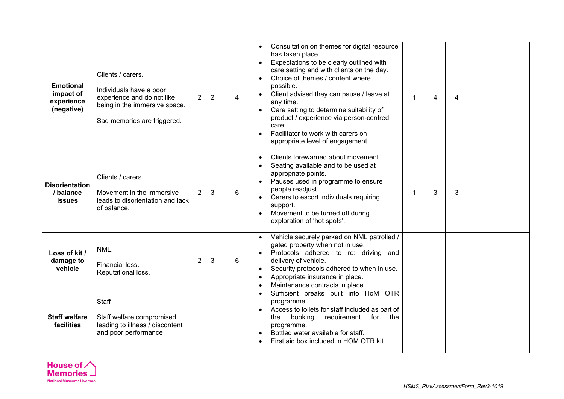| <b>Emotional</b><br>impact of<br>experience<br>(negative) | Clients / carers.<br>Individuals have a poor<br>experience and do not like<br>being in the immersive space.<br>Sad memories are triggered. | $\overline{2}$ | $\overline{2}$ | 4 | possible.<br>any time.<br>care. | Consultation on themes for digital resource<br>has taken place.<br>Expectations to be clearly outlined with<br>care setting and with clients on the day.<br>Choice of themes / content where<br>Client advised they can pause / leave at<br>Care setting to determine suitability of<br>product / experience via person-centred<br>Facilitator to work with carers on<br>appropriate level of engagement. | 1 | $\overline{4}$ | $\overline{4}$ |  |
|-----------------------------------------------------------|--------------------------------------------------------------------------------------------------------------------------------------------|----------------|----------------|---|---------------------------------|-----------------------------------------------------------------------------------------------------------------------------------------------------------------------------------------------------------------------------------------------------------------------------------------------------------------------------------------------------------------------------------------------------------|---|----------------|----------------|--|
| <b>Disorientation</b><br>/ balance<br><b>issues</b>       | Clients / carers.<br>Movement in the immersive<br>leads to disorientation and lack<br>of balance.                                          | $\overline{2}$ | 3              | 6 | support.                        | Clients forewarned about movement.<br>Seating available and to be used at<br>appropriate points.<br>Pauses used in programme to ensure<br>people readjust.<br>Carers to escort individuals requiring<br>Movement to be turned off during<br>exploration of 'hot spots'.                                                                                                                                   |   | 3              | 3              |  |
| Loss of kit /<br>damage to<br>vehicle                     | NML.<br>Financial loss.<br>Reputational loss.                                                                                              | $\overline{2}$ | 3              | 6 |                                 | Vehicle securely parked on NML patrolled /<br>gated property when not in use.<br>Protocols adhered to re: driving and<br>delivery of vehicle.<br>Security protocols adhered to when in use.<br>Appropriate insurance in place.<br>Maintenance contracts in place.                                                                                                                                         |   |                |                |  |
| <b>Staff welfare</b><br>facilities                        | Staff<br>Staff welfare compromised<br>leading to illness / discontent<br>and poor performance                                              |                |                |   | programme<br>the<br>programme.  | Sufficient breaks built into HoM OTR<br>Access to toilets for staff included as part of<br>requirement for<br>booking<br>the<br>Bottled water available for staff.<br>First aid box included in HOM OTR kit.                                                                                                                                                                                              |   |                |                |  |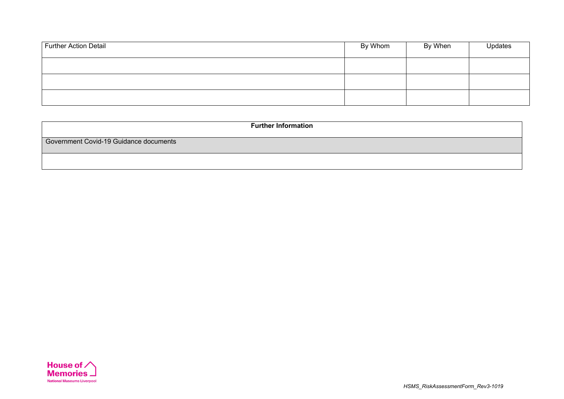| Further Action Detail | By Whom | By When | Updates |
|-----------------------|---------|---------|---------|
|                       |         |         |         |
|                       |         |         |         |
|                       |         |         |         |

| <b>Further Information</b>             |
|----------------------------------------|
| Government Covid-19 Guidance documents |
|                                        |